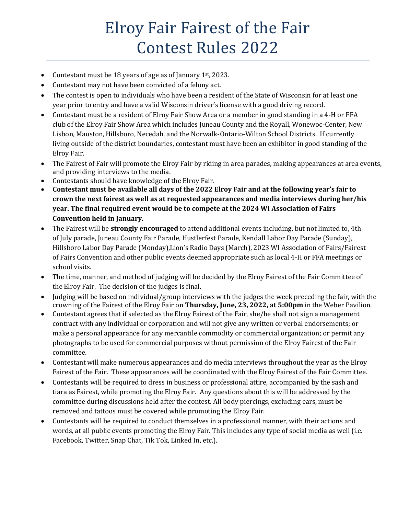## Elroy Fair Fairest of the Fair Contest Rules 2022

- Contestant must be 18 years of age as of January 1<sup>st</sup>, 2023.
- Contestant may not have been convicted of a felony act.
- The contest is open to individuals who have been a resident of the State of Wisconsin for at least one year prior to entry and have a valid Wisconsin driver's license with a good driving record.
- Contestant must be a resident of Elroy Fair Show Area or a member in good standing in a 4-H or FFA club of the Elroy Fair Show Area which includes Juneau County and the Royall, Wonewoc-Center, New Lisbon, Mauston, Hillsboro, Necedah, and the Norwalk-Ontario-Wilton School Districts. If currently living outside of the district boundaries, contestant must have been an exhibitor in good standing of the Elroy Fair.
- The Fairest of Fair will promote the Elroy Fair by riding in area parades, making appearances at area events, and providing interviews to the media.
- Contestants should have knowledge of the Elroy Fair.
- **Contestant must be available all days of the 2022 Elroy Fair and at the following year's fair to crown the next fairest as well as at requested appearances and media interviews during her/his year. The final required event would be to compete at the 2024 WI Association of Fairs Convention held in January.**
- The Fairest will be **strongly encouraged** to attend additional events including, but not limited to, 4th of July parade, Juneau County Fair Parade, Hustlerfest Parade, Kendall Labor Day Parade (Sunday), Hillsboro Labor Day Parade (Monday),Lion's Radio Days (March), 2023 WI Association of Fairs/Fairest of Fairs Convention and other public events deemed appropriate such as local 4-H or FFA meetings or school visits.
- The time, manner, and method of judging will be decided by the Elroy Fairest of the Fair Committee of the Elroy Fair. The decision of the judges is final.
- Judging will be based on individual/group interviews with the judges the week preceding the fair, with the crowning of the Fairest of the Elroy Fair on **Thursday, June, 23, 2022, at 5:00pm** in the Weber Pavilion.
- Contestant agrees that if selected as the Elroy Fairest of the Fair, she/he shall not sign a management contract with any individual or corporation and will not give any written or verbal endorsements; or make a personal appearance for any mercantile commodity or commercial organization; or permit any photographs to be used for commercial purposes without permission of the Elroy Fairest of the Fair committee.
- Contestant will make numerous appearances and do media interviews throughout the year as the Elroy Fairest of the Fair. These appearances will be coordinated with the Elroy Fairest of the Fair Committee.
- Contestants will be required to dress in business or professional attire, accompanied by the sash and tiara as Fairest, while promoting the Elroy Fair. Any questions about this will be addressed by the committee during discussions held after the contest. All body piercings, excluding ears, must be removed and tattoos must be covered while promoting the Elroy Fair.
- Contestants will be required to conduct themselves in a professional manner, with their actions and words, at all public events promoting the Elroy Fair. This includes any type of social media as well (i.e. Facebook, Twitter, Snap Chat, Tik Tok, Linked In, etc.).